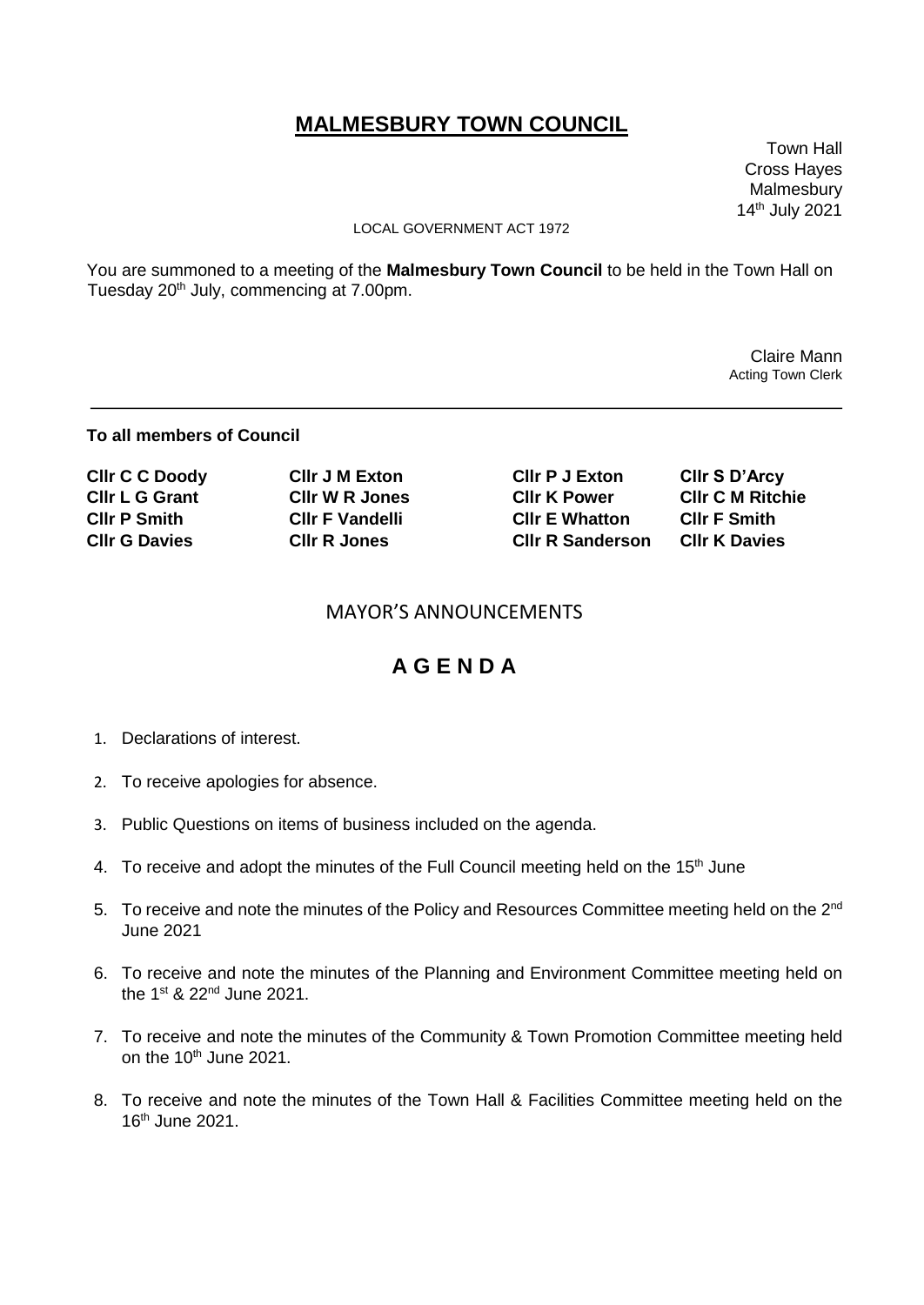# **MALMESBURY TOWN COUNCIL**

 Town Hall Cross Hayes Malmesbury 14th July 2021

#### LOCAL GOVERNMENT ACT 1972

You are summoned to a meeting of the **Malmesbury Town Council** to be held in the Town Hall on Tuesday 20<sup>th</sup> July, commencing at 7.00pm.

> Claire Mann Acting Town Clerk

### **To all members of Council**

| <b>CIIr C C Doody</b> | <b>CIIr J M Exton</b>  | <b>CIIr P J Exton</b>   | CIIr S D'Arcy           |
|-----------------------|------------------------|-------------------------|-------------------------|
| <b>CIIr L G Grant</b> | <b>CIIr W R Jones</b>  | <b>CIIr K Power</b>     | <b>CIIr C M Ritchie</b> |
| <b>CIIr P Smith</b>   | <b>CIIr F Vandelli</b> | <b>CIIr E Whatton</b>   | <b>CIIr F Smith</b>     |
| <b>CIIr G Davies</b>  | <b>CIIr R Jones</b>    | <b>CIIr R Sanderson</b> | <b>CIIr K Davies</b>    |

### MAYOR'S ANNOUNCEMENTS

## **A G E N D A**

- 1. Declarations of interest.
- 2. To receive apologies for absence.
- 3. Public Questions on items of business included on the agenda.
- 4. To receive and adopt the minutes of the Full Council meeting held on the 15<sup>th</sup> June
- 5. To receive and note the minutes of the Policy and Resources Committee meeting held on the 2<sup>nd</sup> June 2021
- 6. To receive and note the minutes of the Planning and Environment Committee meeting held on the 1<sup>st</sup> & 22<sup>nd</sup> June 2021.
- 7. To receive and note the minutes of the Community & Town Promotion Committee meeting held on the  $10^{th}$  June 2021.
- 8. To receive and note the minutes of the Town Hall & Facilities Committee meeting held on the 16th June 2021.